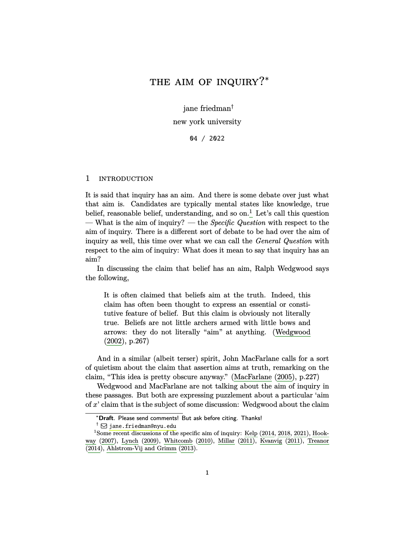# <span id="page-0-1"></span>THE AIM OF INQUIRY?\*

jane friedman†

new york university

04 / 2022

## 1 INTRODUCTION

It is said that inquiry has an aim. And there is some debate over just what that aim is. Candidates are typically mental states like knowledge, true belief, reasonable belief, understanding, and so  $\text{on.}^1$  $\text{on.}^1$  Let's call this question — What is the aim of inquiry? — the *Specific Question* with respect to the aim of inquiry. There is a different sort of debate to be had over the aim of inquiry as well, this time over what we can call the *General Question* with respect to the aim of inquiry: What does it mean to say that inquiry has an aim?

In discussing the claim that belief has an aim, Ralph Wedgwood says the following,

It is often claimed that beliefs aim at the truth. Indeed, this claim has often been thought to express an essential or constitutive feature of belief. But this claim is obviously not literally true. Beliefs are not little archers armed with little bows and arrows: they do not literally "aim" at anything. [\(Wedgwood](#page-26-0) [\(2002](#page-26-0)), p.267)

And in a similar (albeit terser) spirit, John MacFarlane calls for a sort of quietism about the claim that assertion aims at truth, remarking on the claim, "This idea is pretty obscure anyway." [\(MacFarlane](#page-25-0) ([2005\)](#page-25-0), p.227)

Wedgwood and MacFarlane are not talking about the aim of inquiry in these passages. But both are expressing puzzlement about a particular 'aim of *x*' claim that is the subject of some discussion: Wedgwood about the claim

<sup>∗</sup>**Draft**. Please send comments! But ask before citing. Thanks!

<span id="page-0-0"></span> $\dagger$   $\boxdot$  <jane.friedman@nyu.edu>

 $1$ Some recent discussions of the specific aim of inquiry: [Kelp](#page-24-0) [\(2014,](#page-24-0) [2018,](#page-24-1) [2021\)](#page-24-2), [Hook](#page-24-3)[way](#page-24-3) [\(2007\)](#page-24-3), [Lynch](#page-24-4) ([2009\)](#page-24-4), [Whitcomb](#page-26-1) [\(2010\)](#page-26-1), [Millar](#page-25-1) [\(2011\)](#page-25-1), [Kvanvig](#page-24-5) [\(2011\)](#page-24-5), [Treanor](#page-26-2) [\(2014\)](#page-26-2), [Ahlstrom-Vij and Grimm](#page-23-0) [\(2013\)](#page-23-0).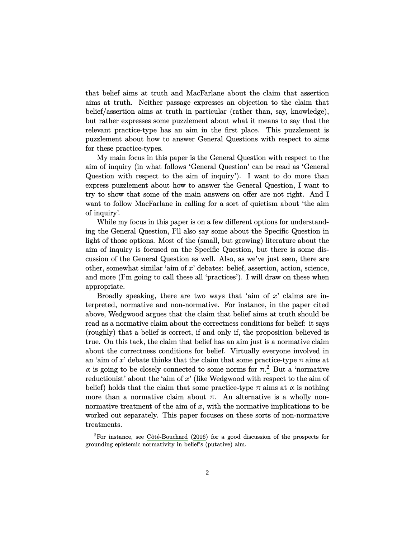<span id="page-1-1"></span>that belief aims at truth and MacFarlane about the claim that assertion aims at truth. Neither passage expresses an objection to the claim that belief/assertion aims at truth in particular (rather than, say, knowledge), but rather expresses some puzzlement about what it means to say that the relevant practice-type has an aim in the first place. This puzzlement is puzzlement about how to answer General Questions with respect to aims for these practice-types.

My main focus in this paper is the General Question with respect to the aim of inquiry (in what follows 'General Question' can be read as 'General Question with respect to the aim of inquiry'). I want to do more than express puzzlement about how to answer the General Question, I want to try to show that some of the main answers on offer are not right. And I want to follow MacFarlane in calling for a sort of quietism about 'the aim of inquiry'.

While my focus in this paper is on a few different options for understanding the General Question, I'll also say some about the Specific Question in light of those options. Most of the (small, but growing) literature about the aim of inquiry is focused on the Specific Question, but there is some discussion of the General Question as well. Also, as we've just seen, there are other, somewhat similar 'aim of *x*' debates: belief, assertion, action, science, and more (I'm going to call these all 'practices'). I will draw on these when appropriate.

Broadly speaking, there are two ways that 'aim of *x*' claims are interpreted, normative and non-normative. For instance, in the paper cited above, Wedgwood argues that the claim that belief aims at truth should be read as a normative claim about the correctness conditions for belief: it says (roughly) that a belief is correct, if and only if, the proposition believed is true. On this tack, the claim that belief has an aim just is a normative claim about the correctness conditions for belief. Virtually everyone involved in an 'aim of  $x$ ' debate thinks that the claim that some practice-type  $\pi$  aims at α is going to be closely connected to some norms for  $π$ <sup>[2](#page-1-0)</sup> But a 'normative reductionist' about the 'aim of *x*' (like Wedgwood with respect to the aim of belief) holds that the claim that some practice-type  $\pi$  aims at  $\alpha$  is nothing more than a normative claim about  $\pi$ . An alternative is a wholly nonnormative treatment of the aim of *x*, with the normative implications to be worked out separately. This paper focuses on these sorts of non-normative treatments.

<span id="page-1-0"></span> ${}^{2}$ For instance, see Côté-Bouchard [\(2016\)](#page-23-1) for a good discussion of the prospects for grounding epistemic normativity in belief's (putative) aim.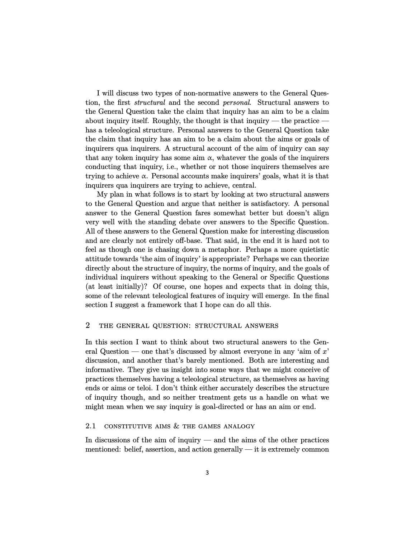I will discuss two types of non-normative answers to the General Question, the first *structural* and the second *personal*. Structural answers to the General Question take the claim that inquiry has an aim to be a claim about inquiry itself. Roughly, the thought is that inquiry  $-$  the practice  $\cdot$ has a teleological structure. Personal answers to the General Question take the claim that inquiry has an aim to be a claim about the aims or goals of inquirers qua inquirers. A structural account of the aim of inquiry can say that any token inquiry has some aim  $\alpha$ , whatever the goals of the inquirers conducting that inquiry, i.e., whether or not those inquirers themselves are trying to achieve  $\alpha$ . Personal accounts make inquirers' goals, what it is that inquirers qua inquirers are trying to achieve, central.

My plan in what follows is to start by looking at two structural answers to the General Question and argue that neither is satisfactory. A personal answer to the General Question fares somewhat better but doesn't align very well with the standing debate over answers to the Specific Question. All of these answers to the General Question make for interesting discussion and are clearly not entirely off-base. That said, in the end it is hard not to feel as though one is chasing down a metaphor. Perhaps a more quietistic attitude towards 'the aim of inquiry' is appropriate? Perhaps we can theorize directly about the structure of inquiry, the norms of inquiry, and the goals of individual inquirers without speaking to the General or Specific Questions (at least initially)? Of course, one hopes and expects that in doing this, some of the relevant teleological features of inquiry will emerge. In the final section I suggest a framework that I hope can do all this.

# 2 the general question: structural answers

In this section I want to think about two structural answers to the General Question — one that's discussed by almost everyone in any 'aim of *x*' discussion, and another that's barely mentioned. Both are interesting and informative. They give us insight into some ways that we might conceive of practices themselves having a teleological structure, as themselves as having ends or aims or teloi. I don't think either accurately describes the structure of inquiry though, and so neither treatment gets us a handle on what we might mean when we say inquiry is goal-directed or has an aim or end.

## 2.1 CONSTITUTIVE AIMS  $&$  THE GAMES ANALOGY

In discussions of the aim of inquiry — and the aims of the other practices mentioned: belief, assertion, and action generally — it is extremely common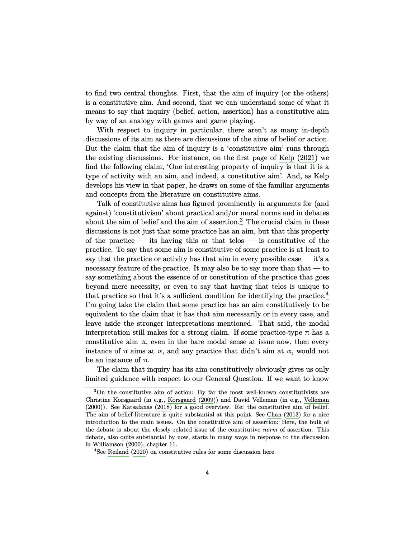<span id="page-3-2"></span>to find two central thoughts. First, that the aim of inquiry (or the others) is a constitutive aim. And second, that we can understand some of what it means to say that inquiry (belief, action, assertion) has a constitutive aim by way of an analogy with games and game playing.

With respect to inquiry in particular, there aren't as many in-depth discussions of its aim as there are discussions of the aims of belief or action. But the claim that the aim of inquiry is a 'constitutive aim' runs through the existing discussions. For instance, on the first page of [Kelp](#page-24-2) ([2021\)](#page-24-2) we find the following claim, 'One interesting property of inquiry is that it is a type of activity with an aim, and indeed, a constitutive aim'. And, as Kelp develops his view in that paper, he draws on some of the familiar arguments and concepts from the literature on constitutive aims.

Talk of constitutive aims has figured prominently in arguments for (and against) 'constitutivism' about practical and/or moral norms and in debates about the aim of belief and the aim of assertion.<sup>[3](#page-3-0)</sup> The crucial claim in these discussions is not just that some practice has an aim, but that this property of the practice — its having this or that telos — is constitutive of the practice. To say that some aim is constitutive of some practice is at least to say that the practice or activity has that aim in every possible case — it's a necessary feature of the practice. It may also be to say more than that — to say something about the essence of or constitution of the practice that goes beyond mere necessity, or even to say that having that telos is unique to that practice so that it's a sufficient condition for identifying the practice.<sup>[4](#page-3-1)</sup> I'm going take the claim that some practice has an aim constitutively to be equivalent to the claim that it has that aim necessarily or in every case, and leave aside the stronger interpretations mentioned. That said, the modal interpretation still makes for a strong claim. If some practice-type  $\pi$  has a constitutive aim  $\alpha$ , even in the bare modal sense at issue now, then every instance of  $\pi$  aims at  $\alpha$ , and any practice that didn't aim at  $\alpha$ , would not be an instance of  $\pi$ .

The claim that inquiry has its aim constitutively obviously gives us only limited guidance with respect to our General Question. If we want to know

<span id="page-3-0"></span><sup>3</sup>On the constitutive aim of action: By far the most well-known constitutivists are Christine Korsgaard (in e.g., [Korsgaard](#page-24-6) [\(2009\)](#page-24-6)) and David Velleman (in e.g., [Velleman](#page-26-3) [\(2000\)](#page-26-3)). See [Katsafanas](#page-24-7) [\(2018\)](#page-24-7) for a good overview. Re: the constitutive aim of belief. The aim of belief literature is quite substantial at this point. See [Chan](#page-23-2) [\(2013\)](#page-23-2) for a nice introduction to the main issues. On the constitutive aim of assertion: Here, the bulk of the debate is about the closely related issue of the constitutive *norm* of assertion. This debate, also quite substantial by now, starts in many ways in response to the discussion in [Williamson](#page-26-4) [\(2000\)](#page-26-4), chapter 11.

<span id="page-3-1"></span><sup>4</sup>See [Reiland](#page-25-2) [\(2020\)](#page-25-2) on constitutive rules for some discussion here.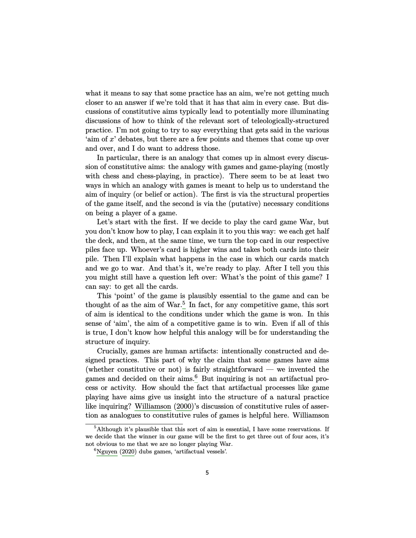<span id="page-4-2"></span>what it means to say that some practice has an aim, we're not getting much closer to an answer if we're told that it has that aim in every case. But discussions of constitutive aims typically lead to potentially more illuminating discussions of how to think of the relevant sort of teleologically-structured practice. I'm not going to try to say everything that gets said in the various 'aim of *x*' debates, but there are a few points and themes that come up over and over, and I do want to address those.

In particular, there is an analogy that comes up in almost every discussion of constitutive aims: the analogy with games and game-playing (mostly with chess and chess-playing, in practice). There seem to be at least two ways in which an analogy with games is meant to help us to understand the aim of inquiry (or belief or action). The first is via the structural properties of the game itself, and the second is via the (putative) necessary conditions on being a player of a game.

Let's start with the first. If we decide to play the card game War, but you don't know how to play, I can explain it to you this way: we each get half the deck, and then, at the same time, we turn the top card in our respective piles face up. Whoever's card is higher wins and takes both cards into their pile. Then I'll explain what happens in the case in which our cards match and we go to war. And that's it, we're ready to play. After I tell you this you might still have a question left over: What's the point of this game? I can say: to get all the cards.

This 'point' of the game is plausibly essential to the game and can be thought of as the aim of  $\text{War.}^5$  $\text{War.}^5$  In fact, for any competitive game, this sort of aim is identical to the conditions under which the game is won. In this sense of 'aim', the aim of a competitive game is to win. Even if all of this is true, I don't know how helpful this analogy will be for understanding the structure of inquiry.

Crucially, games are human artifacts: intentionally constructed and designed practices. This part of why the claim that some games have aims (whether constitutive or not) is fairly straightforward — we invented the games and decided on their aims.<sup>[6](#page-4-1)</sup> But inquiring is not an artifactual process or activity. How should the fact that artifactual processes like game playing have aims give us insight into the structure of a natural practice like inquiring? [Williamson](#page-26-4) ([2000\)](#page-26-4)'s discussion of constitutive rules of assertion as analogues to constitutive rules of games is helpful here. Williamson

<span id="page-4-0"></span> $5$ Although it's plausible that this sort of aim is essential, I have some reservations. If we decide that the winner in our game will be the first to get three out of four aces, it's not obvious to me that we are no longer playing War.

<span id="page-4-1"></span> ${}^{6}$ [Nguyen](#page-25-3) [\(2020\)](#page-25-3) dubs games, 'artifactual vessels'.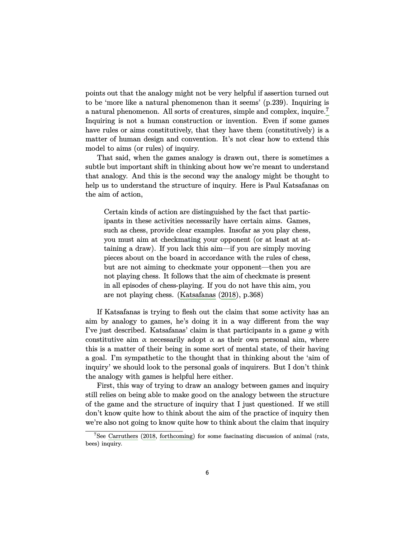<span id="page-5-1"></span>points out that the analogy might not be very helpful if assertion turned out to be 'more like a natural phenomenon than it seems' (p.239). Inquiring is a natural phenomenon. All sorts of creatures, simple and complex, inquire.[7](#page-5-0) Inquiring is not a human construction or invention. Even if some games have rules or aims constitutively, that they have them (constitutively) is a matter of human design and convention. It's not clear how to extend this model to aims (or rules) of inquiry.

That said, when the games analogy is drawn out, there is sometimes a subtle but important shift in thinking about how we're meant to understand that analogy. And this is the second way the analogy might be thought to help us to understand the structure of inquiry. Here is Paul Katsafanas on the aim of action,

Certain kinds of action are distinguished by the fact that participants in these activities necessarily have certain aims. Games, such as chess, provide clear examples. Insofar as you play chess, you must aim at checkmating your opponent (or at least at attaining a draw). If you lack this aim—if you are simply moving pieces about on the board in accordance with the rules of chess, but are not aiming to checkmate your opponent—then you are not playing chess. It follows that the aim of checkmate is present in all episodes of chess-playing. If you do not have this aim, you are not playing chess. ([Katsafanas](#page-24-7) [\(2018\)](#page-24-7), p.368)

If Katsafanas is trying to flesh out the claim that some activity has an aim by analogy to games, he's doing it in a way different from the way I've just described. Katsafanas' claim is that participants in a game *g* with constitutive aim  $\alpha$  necessarily adopt  $\alpha$  as their own personal aim, where this is a matter of their being in some sort of mental state, of their having a goal. I'm sympathetic to the thought that in thinking about the 'aim of inquiry' we should look to the personal goals of inquirers. But I don't think the analogy with games is helpful here either.

First, this way of trying to draw an analogy between games and inquiry still relies on being able to make good on the analogy between the structure of the game and the structure of inquiry that I just questioned. If we still don't know quite how to think about the aim of the practice of inquiry then we're also not going to know quite how to think about the claim that inquiry

<span id="page-5-0"></span> $7$ See [Carruthers](#page-23-3) [\(2018,](#page-23-3) [forthcoming\)](#page-23-4) for some fascinating discussion of animal (rats, bees) inquiry.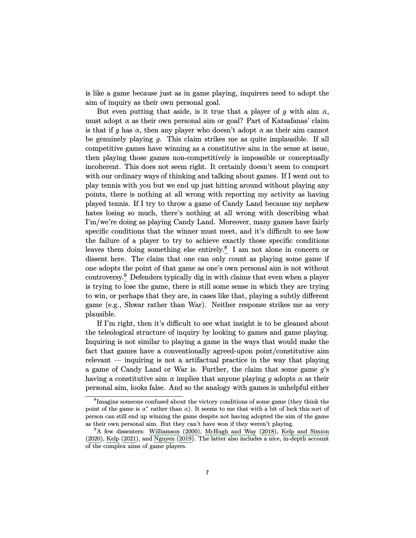<span id="page-6-2"></span>is like a game because just as in game playing, inquirers need to adopt the aim of inquiry as their own personal goal.

But even putting that aside, is it true that a player of  $g$  with aim  $\alpha$ , must adopt  $\alpha$  as their own personal aim or goal? Part of Katsafanas' claim is that if *g* has  $\alpha$ , then any player who doesn't adopt  $\alpha$  as their aim cannot be genuinely playing *g*. This claim strikes me as quite implausible. If all competitive games have winning as a constitutive aim in the sense at issue, then playing those games non-competitively is impossible or conceptually incoherent. This does not seem right. It certainly doesn't seem to comport with our ordinary ways of thinking and talking about games. If I went out to play tennis with you but we end up just hitting around without playing any points, there is nothing at all wrong with reporting my activity as having played tennis. If I try to throw a game of Candy Land because my nephew hates losing so much, there's nothing at all wrong with describing what I'm/we're doing as playing Candy Land. Moreover, many games have fairly specific conditions that the winner must meet, and it's difficult to see how the failure of a player to try to achieve exactly those specific conditions leaves them doing something else entirely.<sup>[8](#page-6-0)</sup> I am not alone in concern or dissent here. The claim that one can only count as playing some game if one adopts the point of that game as one's own personal aim is not without controversy.[9](#page-6-1) Defenders typically dig in with claims that even when a player is trying to lose the game, there is still some sense in which they are trying to win, or perhaps that they are, in cases like that, playing a subtly different game (e.g., Shwar rather than War). Neither response strikes me as very plausible.

If I'm right, then it's difficult to see what insight is to be gleaned about the teleological structure of inquiry by looking to games and game playing. Inquiring is not similar to playing a game in the ways that would make the fact that games have a conventionally agreed-upon point/constitutive aim relevant — inquiring is not a artifactual practice in the way that playing a game of Candy Land or War is. Further, the claim that some game *g*'s having a constitutive aim  $\alpha$  implies that anyone playing g adopts  $\alpha$  as their personal aim, looks false. And so the analogy with games is unhelpful either

<span id="page-6-0"></span><sup>&</sup>lt;sup>8</sup>Imagine someone confused about the victory conditions of some game (they think the point of the game is  $\alpha^*$  rather than  $\alpha$ ). It seems to me that with a bit of luck this sort of person can still end up winning the game despite not having adopted the aim of the game as their own personal aim. But they can't have won if they weren't playing.

<span id="page-6-1"></span><sup>&</sup>lt;sup>9</sup>A few dissenters: [Williamson](#page-26-4) [\(2000\)](#page-26-4), [McHugh and Way](#page-25-4) [\(2018\)](#page-25-4), [Kelp and Simion](#page-24-8) [\(2020\)](#page-24-8), [Kelp](#page-24-2) ([2021\)](#page-24-2), and [Nguyen](#page-25-5) [\(2019\)](#page-25-5). The latter also includes a nice, in-depth account of the complex aims of game players.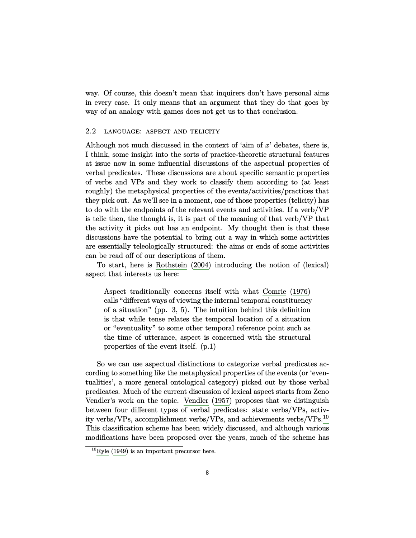<span id="page-7-1"></span>way. Of course, this doesn't mean that inquirers don't have personal aims in every case. It only means that an argument that they do that goes by way of an analogy with games does not get us to that conclusion.

## 2.2 language: aspect and telicity

Although not much discussed in the context of 'aim of *x*' debates, there is, I think, some insight into the sorts of practice-theoretic structural features at issue now in some influential discussions of the aspectual properties of verbal predicates. These discussions are about specific semantic properties of verbs and VPs and they work to classify them according to (at least roughly) the metaphysical properties of the events/activities/practices that they pick out. As we'll see in a moment, one of those properties (telicity) has to do with the endpoints of the relevant events and activities. If a verb/VP is telic then, the thought is, it is part of the meaning of that verb/VP that the activity it picks out has an endpoint. My thought then is that these discussions have the potential to bring out a way in which some activities are essentially teleologically structured: the aims or ends of some activities can be read off of our descriptions of them.

To start, here is [Rothstein](#page-25-6) ([2004\)](#page-25-6) introducing the notion of (lexical) aspect that interests us here:

Aspect traditionally concerns itself with what [Comrie](#page-23-5) ([1976\)](#page-23-5) calls "different ways of viewing the internal temporal constituency of a situation" (pp. 3, 5). The intuition behind this definition is that while tense relates the temporal location of a situation or "eventuality" to some other temporal reference point such as the time of utterance, aspect is concerned with the structural properties of the event itself. (p.1)

So we can use aspectual distinctions to categorize verbal predicates according to something like the metaphysical properties of the events (or 'eventualities', a more general ontological category) picked out by those verbal predicates. Much of the current discussion of lexical aspect starts from Zeno Vendler's work on the topic. [Vendler](#page-26-5) [\(1957\)](#page-26-5) proposes that we distinguish between four different types of verbal predicates: state verbs/VPs, activity verbs/VPs, accomplishment verbs/VPs, and achievements verbs/VPs.[10](#page-7-0) This classification scheme has been widely discussed, and although various modifications have been proposed over the years, much of the scheme has

<span id="page-7-0"></span> $10Ryle$  $10Ryle$  [\(1949\)](#page-25-7) is an important precursor here.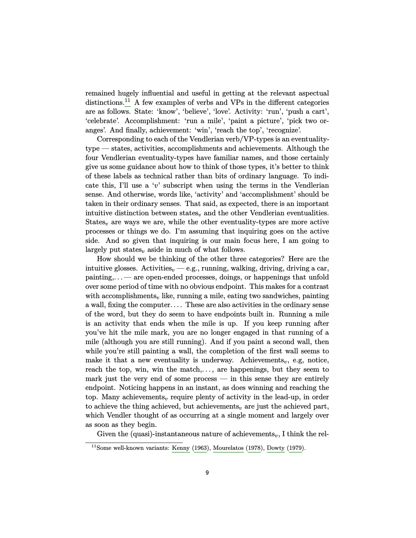<span id="page-8-1"></span>remained hugely influential and useful in getting at the relevant aspectual distinctions.<sup>[11](#page-8-0)</sup> A few examples of verbs and VPs in the different categories are as follows. State: 'know', 'believe', 'love'. Activity: 'run', 'push a cart', 'celebrate'. Accomplishment: 'run a mile', 'paint a picture', 'pick two oranges'. And finally, achievement: 'win', 'reach the top', 'recognize'.

Corresponding to each of the Vendlerian verb/VP-types is an eventualitytype — states, activities, accomplishments and achievements. Although the four Vendlerian eventuality-types have familiar names, and those certainly give us some guidance about how to think of those types, it's better to think of these labels as technical rather than bits of ordinary language. To indicate this, I'll use a '*v*' subscript when using the terms in the Vendlerian sense. And otherwise, words like, 'activity' and 'accomplishment' should be taken in their ordinary senses. That said, as expected, there is an important intuitive distinction between states<sub>v</sub> and the other Vendlerian eventualities. States<sub> $v$ </sub> are ways we are, while the other eventuality-types are more active processes or things we do. I'm assuming that inquiring goes on the active side. And so given that inquiring is our main focus here, I am going to largely put states<sub> $v$ </sub> aside in much of what follows.

How should we be thinking of the other three categories? Here are the intuitive glosses. Activities<sub> $v$ </sub> — e.g., running, walking, driving, driving a car, painting,. . .— are open-ended processes, doings, or happenings that unfold over some period of time with no obvious endpoint. This makes for a contrast with accomplishments<sub>*i*</sub>, like, running a mile, eating two sandwiches, painting a wall, fixing the computer. . . . These are also activities in the ordinary sense of the word, but they do seem to have endpoints built in. Running a mile is an activity that ends when the mile is up. If you keep running after you've hit the mile mark, you are no longer engaged in that running of a mile (although you are still running). And if you paint a second wall, then while you're still painting a wall, the completion of the first wall seems to make it that a new eventuality is underway. Achievements<sub>v</sub>, e.g, notice, reach the top, win, win the match,..., are happenings, but they seem to mark just the very end of some process — in this sense they are entirely endpoint. Noticing happens in an instant, as does winning and reaching the top. Many achievements<sub>*v*</sub> require plenty of activity in the lead-up, in order to achieve the thing achieved, but achievements<sub>*v*</sub> are just the achieved part, which Vendler thought of as occurring at a single moment and largely over as soon as they begin.

Given the (quasi)-instantaneous nature of achievements<sub>*v*</sub>, I think the rel-

<span id="page-8-0"></span> $11$ Some well-known variants: [Kenny](#page-24-9) ([1963\)](#page-24-9), [Mourelatos](#page-25-8) [\(1978\)](#page-25-8), [Dowty](#page-23-6) ([1979\)](#page-23-6).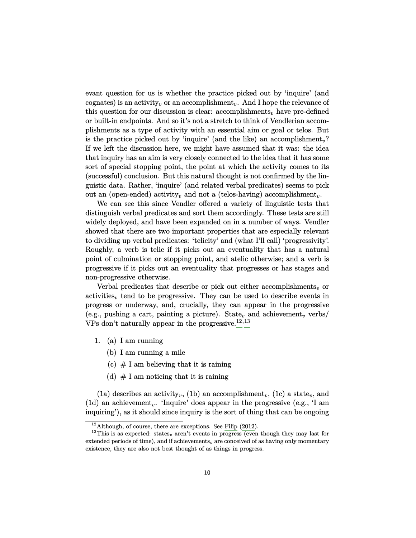<span id="page-9-2"></span>evant question for us is whether the practice picked out by 'inquire' (and cognates) is an activity<sub>v</sub> or an accomplishment<sub>v</sub>. And I hope the relevance of this question for our discussion is clear:  $\alpha$ complishments<sub>*v*</sub> have pre-defined or built-in endpoints. And so it's not a stretch to think of Vendlerian accomplishments as a type of activity with an essential aim or goal or telos. But is the practice picked out by 'inquire' (and the like) an accomplishment*v*? If we left the discussion here, we might have assumed that it was: the idea that inquiry has an aim is very closely connected to the idea that it has some sort of special stopping point, the point at which the activity comes to its (successful) conclusion. But this natural thought is not confirmed by the linguistic data. Rather, 'inquire' (and related verbal predicates) seems to pick out an (open-ended) activity<sub>*v*</sub> and not a (telos-having) accomplishment<sub>*v*</sub>.

We can see this since Vendler offered a variety of linguistic tests that distinguish verbal predicates and sort them accordingly. These tests are still widely deployed, and have been expanded on in a number of ways. Vendler showed that there are two important properties that are especially relevant to dividing up verbal predicates: 'telicity' and (what I'll call) 'progressivity'. Roughly, a verb is telic if it picks out an eventuality that has a natural point of culmination or stopping point, and atelic otherwise; and a verb is progressive if it picks out an eventuality that progresses or has stages and non-progressive otherwise.

Verbal predicates that describe or pick out either accomplishments<sub>*v*</sub> or activities<sub> $v$ </sub> tend to be progressive. They can be used to describe events in progress or underway, and, crucially, they can appear in the progressive (e.g., pushing a cart, painting a picture). State<sub>v</sub> and achievement<sub>*v*</sub> verbs/ VPs don't naturally appear in the progressive.[12](#page-9-0)*,*[13](#page-9-1)

- 1. (a) I am running
	- (b) I am running a mile
	- (c)  $# I$  am believing that it is raining
	- (d)  $# I$  am noticing that it is raining

(1a) describes an activity<sub>v</sub>, (1b) an accomplishment<sub>v</sub>, (1c) a state<sub>v</sub>, and (1d) an achievement*v*. 'Inquire' does appear in the progressive (e.g., 'I am inquiring'), as it should since inquiry is the sort of thing that can be ongoing

<span id="page-9-1"></span><span id="page-9-0"></span> $12$ Although, of course, there are exceptions. See [Filip](#page-23-7) [\(2012\)](#page-23-7).

<sup>&</sup>lt;sup>13</sup>This is as expected: states<sub>v</sub> aren't events in progress (even though they may last for extended periods of time), and if achievements<sub>v</sub> are conceived of as having only momentary existence, they are also not best thought of as things in progress.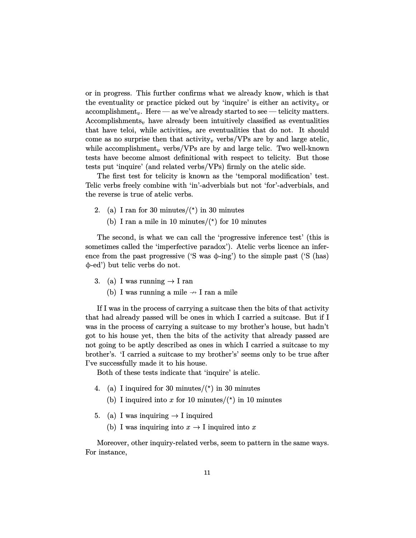or in progress. This further confirms what we already know, which is that the eventuality or practice picked out by 'inquire' is either an activity<sub>v</sub> or accomplishment*v*. Here — as we've already started to see — telicity matters. Accomplishments*<sup>v</sup>* have already been intuitively classified as eventualities that have teloi, while activities<sub>*v*</sub> are eventualities that do not. It should come as no surprise then that activity<sub>v</sub> verbs/VPs are by and large atelic, while accomplishment*<sup>v</sup>* verbs/VPs are by and large telic. Two well-known tests have become almost definitional with respect to telicity. But those tests put 'inquire' (and related verbs/VPs) firmly on the atelic side.

The first test for telicity is known as the 'temporal modification' test. Telic verbs freely combine with 'in'-adverbials but not 'for'-adverbials, and the reverse is true of atelic verbs.

- 2. (a) I ran for 30 minutes/ $(\star)$  in 30 minutes
	- (b) I ran a mile in 10 minutes/ $(*)$  for 10 minutes

The second, is what we can call the 'progressive inference test' (this is sometimes called the 'imperfective paradox'). Atelic verbs licence an inference from the past progressive ('S was  $\phi$ -ing') to the simple past ('S (has) ϕ-ed') but telic verbs do not.

- 3. (a) I was running  $\rightarrow$  I ran
	- (b) I was running a mile  $\rightarrow$  I ran a mile

If I was in the process of carrying a suitcase then the bits of that activity that had already passed will be ones in which I carried a suitcase. But if I was in the process of carrying a suitcase to my brother's house, but hadn't got to his house yet, then the bits of the activity that already passed are not going to be aptly described as ones in which I carried a suitcase to my brother's. 'I carried a suitcase to my brother's' seems only to be true after I've successfully made it to his house.

Both of these tests indicate that 'inquire' is atelic.

- 4. (a) I inquired for 30 minutes/ $(\star)$  in 30 minutes
	- (b) I inquired into *x* for 10 minutes/ $(\star)$  in 10 minutes
- 5. (a) I was inquiring  $\rightarrow$  I inquired
	- (b) I was inquiring into  $x \to 1$  inquired into x

Moreover, other inquiry-related verbs, seem to pattern in the same ways. For instance,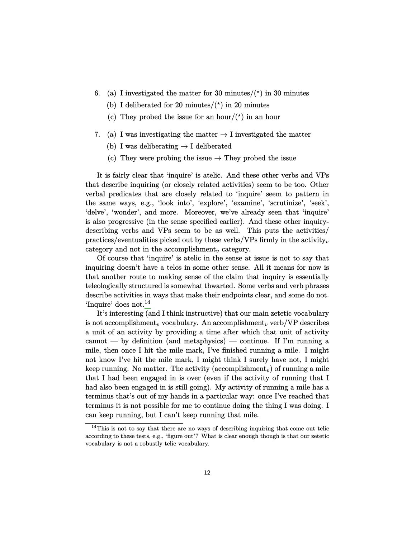- 6. (a) I investigated the matter for 30 minutes/ $(*)$  in 30 minutes
	- (b) I deliberated for 20 minutes/ $(*)$  in 20 minutes
	- (c) They probed the issue for an hour/ $(*)$  in an hour
- 7. (a) I was investigating the matter  $\rightarrow$  I investigated the matter
	- (b) I was deliberating  $\rightarrow$  I deliberated
	- (c) They were probing the issue  $\rightarrow$  They probed the issue

It is fairly clear that 'inquire' is atelic. And these other verbs and VPs that describe inquiring (or closely related activities) seem to be too. Other verbal predicates that are closely related to 'inquire' seem to pattern in the same ways, e.g., 'look into', 'explore', 'examine', 'scrutinize', 'seek', 'delve', 'wonder', and more. Moreover, we've already seen that 'inquire' is also progressive (in the sense specified earlier). And these other inquirydescribing verbs and VPs seem to be as well. This puts the activities/ practices/eventualities picked out by these verbs/VPs firmly in the activity<sub>*v*</sub> category and not in the accomplishment<sub> $v$ </sub> category.

Of course that 'inquire' is atelic in the sense at issue is not to say that inquiring doesn't have a telos in some other sense. All it means for now is that another route to making sense of the claim that inquiry is essentially teleologically structured is somewhat thwarted. Some verbs and verb phrases describe activities in ways that make their endpoints clear, and some do not. 'Inquire' does not.[14](#page-11-0)

It's interesting (and I think instructive) that our main zetetic vocabulary is not accomplishment<sub>*v*</sub> vocabulary. An accomplishment<sub>*v*</sub> verb/VP describes a unit of an activity by providing a time after which that unit of activity cannot — by definition (and metaphysics) — continue. If I'm running a mile, then once I hit the mile mark, I've finished running a mile. I might not know I've hit the mile mark, I might think I surely have not, I might keep running. No matter. The activity (accomplishment*v*) of running a mile that I had been engaged in is over (even if the activity of running that I had also been engaged in is still going). My activity of running a mile has a terminus that's out of my hands in a particular way: once I've reached that terminus it is not possible for me to continue doing the thing I was doing. I can keep running, but I can't keep running that mile.

<span id="page-11-0"></span> $14$ This is not to say that there are no ways of describing inquiring that come out telic according to these tests, e.g., 'figure out'? What is clear enough though is that our zetetic vocabulary is not a robustly telic vocabulary.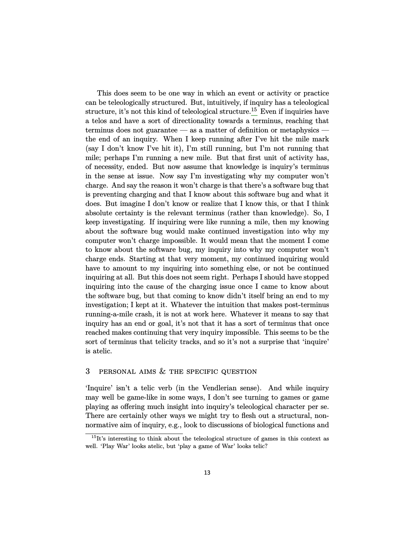This does seem to be one way in which an event or activity or practice can be teleologically structured. But, intuitively, if inquiry has a teleological structure, it's not this kind of teleological structure.<sup>[15](#page-12-0)</sup> Even if inquiries have a telos and have a sort of directionality towards a terminus, reaching that terminus does not guarantee — as a matter of definition or metaphysics the end of an inquiry. When I keep running after I've hit the mile mark (say I don't know I've hit it), I'm still running, but I'm not running that mile; perhaps I'm running a new mile. But that first unit of activity has, of necessity, ended. But now assume that knowledge is inquiry's terminus in the sense at issue. Now say I'm investigating why my computer won't charge. And say the reason it won't charge is that there's a software bug that is preventing charging and that I know about this software bug and what it does. But imagine I don't know or realize that I know this, or that I think absolute certainty is the relevant terminus (rather than knowledge). So, I keep investigating. If inquiring were like running a mile, then my knowing about the software bug would make continued investigation into why my computer won't charge impossible. It would mean that the moment I come to know about the software bug, my inquiry into why my computer won't charge ends. Starting at that very moment, my continued inquiring would have to amount to my inquiring into something else, or not be continued inquiring at all. But this does not seem right. Perhaps I should have stopped inquiring into the cause of the charging issue once I came to know about the software bug, but that coming to know didn't itself bring an end to my investigation; I kept at it. Whatever the intuition that makes post-terminus running-a-mile crash, it is not at work here. Whatever it means to say that inquiry has an end or goal, it's not that it has a sort of terminus that once reached makes continuing that very inquiry impossible. This seems to be the sort of terminus that telicity tracks, and so it's not a surprise that 'inquire' is atelic.

# 3 personal aims & the specific question

'Inquire' isn't a telic verb (in the Vendlerian sense). And while inquiry may well be game-like in some ways, I don't see turning to games or game playing as offering much insight into inquiry's teleological character per se. There are certainly other ways we might try to flesh out a structural, nonnormative aim of inquiry, e.g., look to discussions of biological functions and

<span id="page-12-0"></span> $15$ It's interesting to think about the teleological structure of games in this context as well. 'Play War' looks atelic, but 'play a game of War' looks telic?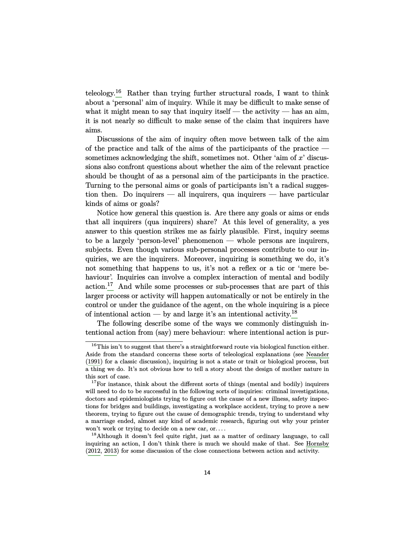<span id="page-13-3"></span>teleology.[16](#page-13-0) Rather than trying further structural roads, I want to think about a 'personal' aim of inquiry. While it may be difficult to make sense of what it might mean to say that inquiry itself — the activity — has an aim, it is not nearly so difficult to make sense of the claim that inquirers have aims.

Discussions of the aim of inquiry often move between talk of the aim of the practice and talk of the aims of the participants of the practice sometimes acknowledging the shift, sometimes not. Other 'aim of *x*' discussions also confront questions about whether the aim of the relevant practice should be thought of as a personal aim of the participants in the practice. Turning to the personal aims or goals of participants isn't a radical suggestion then. Do inquirers  $-$  all inquirers, qua inquirers  $-$  have particular kinds of aims or goals?

Notice how general this question is. Are there any goals or aims or ends that all inquirers (qua inquirers) share? At this level of generality, a yes answer to this question strikes me as fairly plausible. First, inquiry seems to be a largely 'person-level' phenomenon — whole persons are inquirers, subjects. Even though various sub-personal processes contribute to our inquiries, we are the inquirers. Moreover, inquiring is something we do, it's not something that happens to us, it's not a reflex or a tic or 'mere behaviour'. Inquiries can involve a complex interaction of mental and bodily action.[17](#page-13-1) And while some processes or sub-processes that are part of this larger process or activity will happen automatically or not be entirely in the control or under the guidance of the agent, on the whole inquiring is a piece of intentional action — by and large it's an intentional activity.<sup>[18](#page-13-2)</sup>

The following describe some of the ways we commonly distinguish intentional action from (say) mere behaviour: where intentional action is pur-

<span id="page-13-0"></span> $^{16}\mathrm{This}$  isn't to suggest that there's a straightforward route via biological function either. Aside from the standard concerns these sorts of teleological explanations (see [Neander](#page-25-9) [\(1991\)](#page-25-9) for a classic discussion), inquiring is not a state or trait or biological process, but a thing we do. It's not obvious how to tell a story about the design of mother nature in this sort of case.

<span id="page-13-1"></span><sup>&</sup>lt;sup>17</sup>For instance, think about the different sorts of things (mental and bodily) inquirers will need to do to be successful in the following sorts of inquiries: criminal investigations, doctors and epidemiologists trying to figure out the cause of a new illness, safety inspections for bridges and buildings, investigating a workplace accident, trying to prove a new theorem, trying to figure out the cause of demographic trends, trying to understand why a marriage ended, almost any kind of academic research, figuring out why your printer won't work or trying to decide on a new car, or....

<span id="page-13-2"></span><sup>&</sup>lt;sup>18</sup>Although it doesn't feel quite right, just as a matter of ordinary language, to call inquiring an action, I don't think there is much we should make of that. See [Hornsby](#page-24-10) [\(2012,](#page-24-10) [2013\)](#page-24-11) for some discussion of the close connections between action and activity.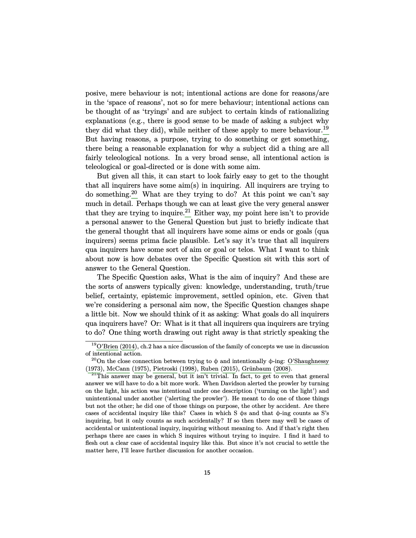<span id="page-14-3"></span>posive, mere behaviour is not; intentional actions are done for reasons/are in the 'space of reasons', not so for mere behaviour; intentional actions can be thought of as 'tryings' and are subject to certain kinds of rationalizing explanations (e.g., there is good sense to be made of asking a subject why they did what they did), while neither of these apply to mere behaviour.<sup>[19](#page-14-0)</sup> But having reasons, a purpose, trying to do something or get something, there being a reasonable explanation for why a subject did a thing are all fairly teleological notions. In a very broad sense, all intentional action is teleological or goal-directed or is done with some aim.

But given all this, it can start to look fairly easy to get to the thought that all inquirers have some aim(s) in inquiring. All inquirers are trying to do something.<sup>[20](#page-14-1)</sup> What are they trying to do? At this point we can't say much in detail. Perhaps though we can at least give the very general answer that they are trying to inquire.<sup>[21](#page-14-2)</sup> Either way, my point here isn't to provide a personal answer to the General Question but just to briefly indicate that the general thought that all inquirers have some aims or ends or goals (qua inquirers) seems prima facie plausible. Let's say it's true that all inquirers qua inquirers have some sort of aim or goal or telos. What I want to think about now is how debates over the Specific Question sit with this sort of answer to the General Question.

The Specific Question asks, What is the aim of inquiry? And these are the sorts of answers typically given: knowledge, understanding, truth/true belief, certainty, epistemic improvement, settled opinion, etc. Given that we're considering a personal aim now, the Specific Question changes shape a little bit. Now we should think of it as asking: What goals do all inquirers qua inquirers have? Or: What is it that all inquirers qua inquirers are trying to do? One thing worth drawing out right away is that strictly speaking the

<span id="page-14-0"></span> $19^{\text{19}}$ [O'Brien](#page-25-10) ([2014\)](#page-25-10), ch.2 has a nice discussion of the family of concepts we use in discussion of intentional action.

<span id="page-14-1"></span><sup>&</sup>lt;sup>20</sup>On the close connection between trying to  $\phi$  and intentionally  $\phi$ -ing: [O'Shaughnessy](#page-25-11) [\(1973\)](#page-25-11), [McCann](#page-25-12) [\(1975](#page-25-12)), [Pietroski](#page-25-13) ([1998](#page-25-13)), [Ruben](#page-25-14) [\(2015\)](#page-25-14), Grünbaum ([2008\)](#page-23-8).

<span id="page-14-2"></span> $21$ This answer may be general, but it isn't trivial. In fact, to get to even that general answer we will have to do a bit more work. When Davidson alerted the prowler by turning on the light, his action was intentional under one description ('turning on the light') and unintentional under another ('alerting the prowler'). He meant to do one of those things but not the other; he did one of those things on purpose, the other by accident. Are there cases of accidental inquiry like this? Cases in which  $S \phi s$  and that  $\phi$ -ing counts as  $S's$ inquiring, but it only counts as such accidentally? If so then there may well be cases of accidental or unintentional inquiry, inquiring without meaning to. And if that's right then perhaps there are cases in which S inquires without trying to inquire. I find it hard to flesh out a clear case of accidental inquiry like this. But since it's not crucial to settle the matter here, I'll leave further discussion for another occasion.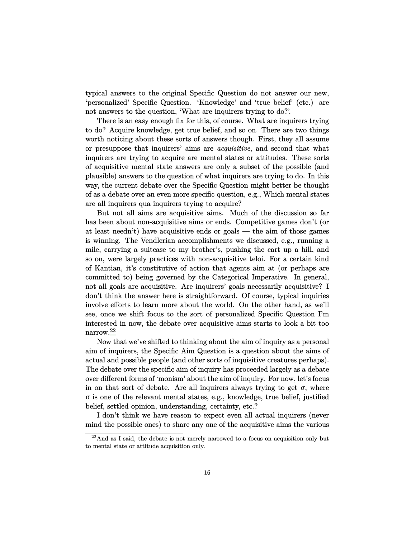typical answers to the original Specific Question do not answer our new, 'personalized' Specific Question. 'Knowledge' and 'true belief' (etc.) are not answers to the question, 'What are inquirers trying to do?'.

There is an easy enough fix for this, of course. What are inquirers trying to do? Acquire knowledge, get true belief, and so on. There are two things worth noticing about these sorts of answers though. First, they all assume or presuppose that inquirers' aims are *acquisitive*, and second that what inquirers are trying to acquire are mental states or attitudes. These sorts of acquisitive mental state answers are only a subset of the possible (and plausible) answers to the question of what inquirers are trying to do. In this way, the current debate over the Specific Question might better be thought of as a debate over an even more specific question, e.g., Which mental states are all inquirers qua inquirers trying to acquire?

But not all aims are acquisitive aims. Much of the discussion so far has been about non-acquisitive aims or ends. Competitive games don't (or at least needn't) have acquisitive ends or goals — the aim of those games is winning. The Vendlerian accomplishments we discussed, e.g., running a mile, carrying a suitcase to my brother's, pushing the cart up a hill, and so on, were largely practices with non-acquisitive teloi. For a certain kind of Kantian, it's constitutive of action that agents aim at (or perhaps are committed to) being governed by the Categorical Imperative. In general, not all goals are acquisitive. Are inquirers' goals necessarily acquisitive? I don't think the answer here is straightforward. Of course, typical inquiries involve efforts to learn more about the world. On the other hand, as we'll see, once we shift focus to the sort of personalized Specific Question I'm interested in now, the debate over acquisitive aims starts to look a bit too narrow.[22](#page-15-0)

Now that we've shifted to thinking about the aim of inquiry as a personal aim of inquirers, the Specific Aim Question is a question about the aims of actual and possible people (and other sorts of inquisitive creatures perhaps). The debate over the specific aim of inquiry has proceeded largely as a debate over different forms of 'monism' about the aim of inquiry. For now, let's focus in on that sort of debate. Are all inquirers always trying to get  $\sigma$ , where σ is one of the relevant mental states, e.g., knowledge, true belief, justified belief, settled opinion, understanding, certainty, etc.?

I don't think we have reason to expect even all actual inquirers (never mind the possible ones) to share any one of the acquisitive aims the various

<span id="page-15-0"></span> $22$ And as I said, the debate is not merely narrowed to a focus on acquisition only but to mental state or attitude acquisition only.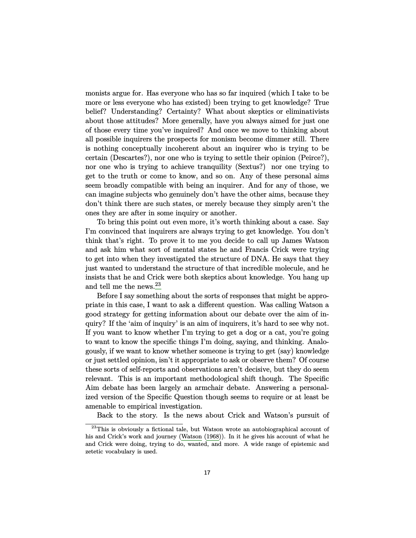<span id="page-16-1"></span>monists argue for. Has everyone who has so far inquired (which I take to be more or less everyone who has existed) been trying to get knowledge? True belief? Understanding? Certainty? What about skeptics or eliminativists about those attitudes? More generally, have you always aimed for just one of those every time you've inquired? And once we move to thinking about all possible inquirers the prospects for monism become dimmer still. There is nothing conceptually incoherent about an inquirer who is trying to be certain (Descartes?), nor one who is trying to settle their opinion (Peirce?), nor one who is trying to achieve tranquility (Sextus?) nor one trying to get to the truth or come to know, and so on. Any of these personal aims seem broadly compatible with being an inquirer. And for any of those, we can imagine subjects who genuinely don't have the other aims, because they don't think there are such states, or merely because they simply aren't the ones they are after in some inquiry or another.

To bring this point out even more, it's worth thinking about a case. Say I'm convinced that inquirers are always trying to get knowledge. You don't think that's right. To prove it to me you decide to call up James Watson and ask him what sort of mental states he and Francis Crick were trying to get into when they investigated the structure of DNA. He says that they just wanted to understand the structure of that incredible molecule, and he insists that he and Crick were both skeptics about knowledge. You hang up and tell me the news.<sup>[23](#page-16-0)</sup>

Before I say something about the sorts of responses that might be appropriate in this case, I want to ask a different question. Was calling Watson a good strategy for getting information about our debate over the aim of inquiry? If the 'aim of inquiry' is an aim of inquirers, it's hard to see why not. If you want to know whether I'm trying to get a dog or a cat, you're going to want to know the specific things I'm doing, saying, and thinking. Analogously, if we want to know whether someone is trying to get (say) knowledge or just settled opinion, isn't it appropriate to ask or observe them? Of course these sorts of self-reports and observations aren't decisive, but they do seem relevant. This is an important methodological shift though. The Specific Aim debate has been largely an armchair debate. Answering a personalized version of the Specific Question though seems to require or at least be amenable to empirical investigation.

<span id="page-16-0"></span>Back to the story. Is the news about Crick and Watson's pursuit of

<sup>&</sup>lt;sup>23</sup>This is obviously a fictional tale, but Watson wrote an autobiographical account of his and Crick's work and journey ([Watson](#page-26-6) ([1968\)](#page-26-6)). In it he gives his account of what he and Crick were doing, trying to do, wanted, and more. A wide range of epistemic and zetetic vocabulary is used.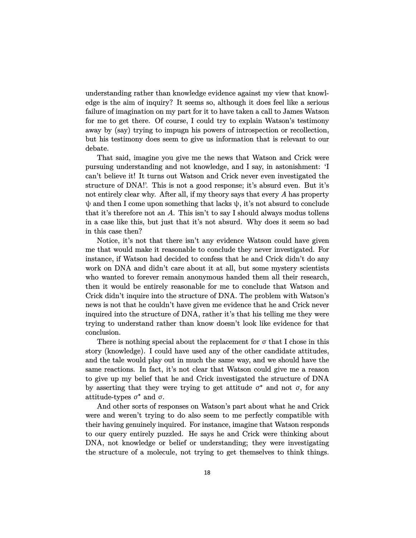understanding rather than knowledge evidence against my view that knowledge is the aim of inquiry? It seems so, although it does feel like a serious failure of imagination on my part for it to have taken a call to James Watson for me to get there. Of course, I could try to explain Watson's testimony away by (say) trying to impugn his powers of introspection or recollection, but his testimony does seem to give us information that is relevant to our debate.

That said, imagine you give me the news that Watson and Crick were pursuing understanding and not knowledge, and I say, in astonishment: 'I can't believe it! It turns out Watson and Crick never even investigated the structure of DNA!'. This is not a good response; it's absurd even. But it's not entirely clear why. After all, if my theory says that every *A* has property  $\psi$  and then I come upon something that lacks  $\psi$ , it's not absurd to conclude that it's therefore not an *A*. This isn't to say I should always modus tollens in a case like this, but just that it's not absurd. Why does it seem so bad in this case then?

Notice, it's not that there isn't any evidence Watson could have given me that would make it reasonable to conclude they never investigated. For instance, if Watson had decided to confess that he and Crick didn't do any work on DNA and didn't care about it at all, but some mystery scientists who wanted to forever remain anonymous handed them all their research, then it would be entirely reasonable for me to conclude that Watson and Crick didn't inquire into the structure of DNA. The problem with Watson's news is not that he couldn't have given me evidence that he and Crick never inquired into the structure of DNA, rather it's that his telling me they were trying to understand rather than know doesn't look like evidence for that conclusion.

There is nothing special about the replacement for  $\sigma$  that I chose in this story (knowledge). I could have used any of the other candidate attitudes, and the tale would play out in much the same way, and we should have the same reactions. In fact, it's not clear that Watson could give me a reason to give up my belief that he and Crick investigated the structure of DNA by asserting that they were trying to get attitude  $\sigma^*$  and not  $\sigma$ , for any attitude-types  $\sigma^*$  and  $\sigma$ .

And other sorts of responses on Watson's part about what he and Crick were and weren't trying to do also seem to me perfectly compatible with their having genuinely inquired. For instance, imagine that Watson responds to our query entirely puzzled. He says he and Crick were thinking about DNA, not knowledge or belief or understanding; they were investigating the structure of a molecule, not trying to get themselves to think things.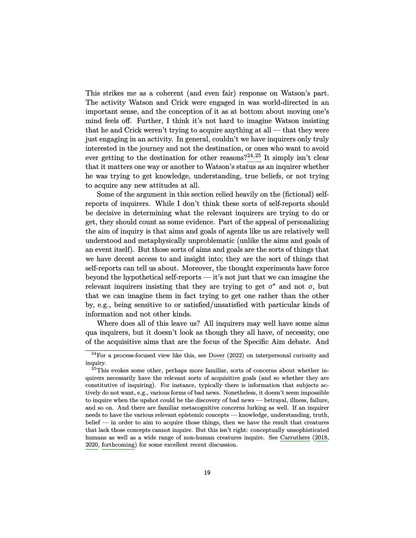<span id="page-18-2"></span>This strikes me as a coherent (and even fair) response on Watson's part. The activity Watson and Crick were engaged in was world-directed in an important sense, and the conception of it as at bottom about moving one's mind feels off. Further, I think it's not hard to imagine Watson insisting that he and Crick weren't trying to acquire anything at all — that they were just engaging in an activity. In general, couldn't we have inquirers only truly interested in the journey and not the destination, or ones who want to avoid ever getting to the destination for other reasons?[24](#page-18-0)*,*[25](#page-18-1) It simply isn't clear that it matters one way or another to Watson's status as an inquirer whether he was trying to get knowledge, understanding, true beliefs, or not trying to acquire any new attitudes at all.

Some of the argument in this section relied heavily on the (fictional) selfreports of inquirers. While I don't think these sorts of self-reports should be decisive in determining what the relevant inquirers are trying to do or get, they should count as some evidence. Part of the appeal of personalizing the aim of inquiry is that aims and goals of agents like us are relatively well understood and metaphysically unproblematic (unlike the aims and goals of an event itself). But those sorts of aims and goals are the sorts of things that we have decent access to and insight into; they are the sort of things that self-reports can tell us about. Moreover, the thought experiments have force beyond the hypothetical self-reports — it's not just that we can imagine the relevant inquirers insisting that they are trying to get  $\sigma^*$  and not  $\sigma$ , but that we can imagine them in fact trying to get one rather than the other by, e.g., being sensitive to or satisfied/unsatisfied with particular kinds of information and not other kinds.

Where does all of this leave us? All inquirers may well have some aims qua inquirers, but it doesn't look as though they all have, of necessity, one of the acquisitive aims that are the focus of the Specific Aim debate. And

<span id="page-18-0"></span> $24$ For a process-focused view like this, see [Dover](#page-23-9) ([2022](#page-23-9)) on interpersonal curiosity and inquiry.

<span id="page-18-1"></span> $25$ This evokes some other, perhaps more familiar, sorts of concerns about whether inquirers necessarily have the relevant sorts of acquisitive goals (and so whether they are constitutive of inquiring). For instance, typically there is information that subjects actively do not want, e.g., various forms of bad news. Nonetheless, it doesn't seem impossible to inquire when the upshot could be the discovery of bad news — betrayal, illness, failure, and so on. And there are familiar metacognitive concerns lurking as well. If an inquirer needs to have the various relevant epistemic concepts — knowledge, understanding, truth, belief — in order to aim to acquire those things, then we have the result that creatures that lack those concepts cannot inquire. But this isn't right: conceptually unsophisticated humans as well as a wide range of non-human creatures inquire. See [Carruthers](#page-23-3) [\(2018,](#page-23-3) [2020](#page-23-10), [forthcoming\)](#page-23-4) for some excellent recent discussion.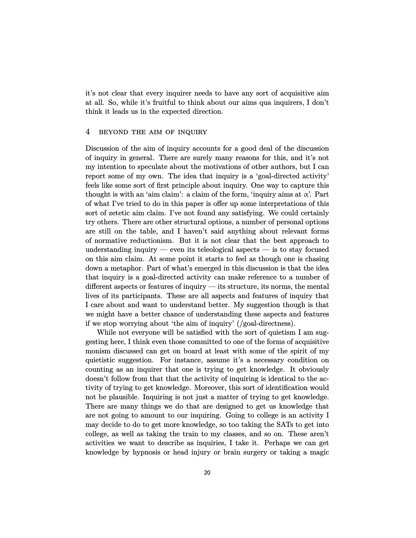it's not clear that every inquirer needs to have any sort of acquisitive aim at all. So, while it's fruitful to think about our aims qua inquirers, I don't think it leads us in the expected direction.

## 4 beyond the aim of inquiry

Discussion of the aim of inquiry accounts for a good deal of the discussion of inquiry in general. There are surely many reasons for this, and it's not my intention to speculate about the motivations of other authors, but I can report some of my own. The idea that inquiry is a 'goal-directed activity' feels like some sort of first principle about inquiry. One way to capture this thought is with an 'aim claim': a claim of the form, 'inquiry aims at  $\alpha$ '. Part of what I've tried to do in this paper is offer up some interpretations of this sort of zetetic aim claim. I've not found any satisfying. We could certainly try others. There are other structural options, a number of personal options are still on the table, and I haven't said anything about relevant forms of normative reductionism. But it is not clear that the best approach to understanding inquiry — even its teleological aspects — is to stay focused on this aim claim. At some point it starts to feel as though one is chasing down a metaphor. Part of what's emerged in this discussion is that the idea that inquiry is a goal-directed activity can make reference to a number of different aspects or features of inquiry — its structure, its norms, the mental lives of its participants. These are all aspects and features of inquiry that I care about and want to understand better. My suggestion though is that we might have a better chance of understanding these aspects and features if we stop worrying about 'the aim of inquiry' (/goal-directness).

While not everyone will be satisfied with the sort of quietism I am suggesting here, I think even those committed to one of the forms of acquisitive monism discussed can get on board at least with some of the spirit of my quietistic suggestion. For instance, assume it's a necessary condition on counting as an inquirer that one is trying to get knowledge. It obviously doesn't follow from that that the activity of inquiring is identical to the activity of trying to get knowledge. Moreover, this sort of identification would not be plausible. Inquiring is not just a matter of trying to get knowledge. There are many things we do that are designed to get us knowledge that are not going to amount to our inquiring. Going to college is an activity I may decide to do to get more knowledge, so too taking the SATs to get into college, as well as taking the train to my classes, and so on. These aren't activities we want to describe as inquiries, I take it. Perhaps we can get knowledge by hypnosis or head injury or brain surgery or taking a magic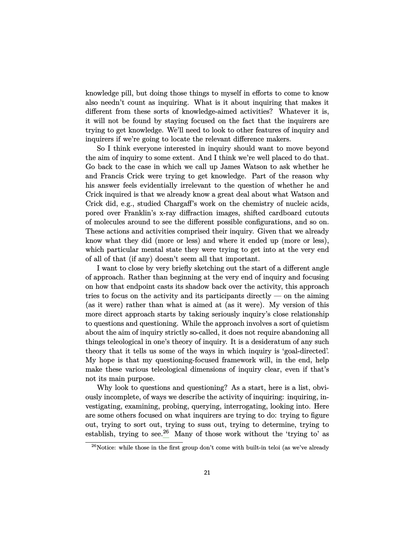knowledge pill, but doing those things to myself in efforts to come to know also needn't count as inquiring. What is it about inquiring that makes it different from these sorts of knowledge-aimed activities? Whatever it is, it will not be found by staying focused on the fact that the inquirers are trying to get knowledge. We'll need to look to other features of inquiry and inquirers if we're going to locate the relevant difference makers.

So I think everyone interested in inquiry should want to move beyond the aim of inquiry to some extent. And I think we're well placed to do that. Go back to the case in which we call up James Watson to ask whether he and Francis Crick were trying to get knowledge. Part of the reason why his answer feels evidentially irrelevant to the question of whether he and Crick inquired is that we already know a great deal about what Watson and Crick did, e.g., studied Chargaff's work on the chemistry of nucleic acids, pored over Franklin's x-ray diffraction images, shifted cardboard cutouts of molecules around to see the different possible configurations, and so on. These actions and activities comprised their inquiry. Given that we already know what they did (more or less) and where it ended up (more or less), which particular mental state they were trying to get into at the very end of all of that (if any) doesn't seem all that important.

I want to close by very briefly sketching out the start of a different angle of approach. Rather than beginning at the very end of inquiry and focusing on how that endpoint casts its shadow back over the activity, this approach tries to focus on the activity and its participants directly — on the aiming (as it were) rather than what is aimed at (as it were). My version of this more direct approach starts by taking seriously inquiry's close relationship to questions and questioning. While the approach involves a sort of quietism about the aim of inquiry strictly so-called, it does not require abandoning all things teleological in one's theory of inquiry. It is a desideratum of any such theory that it tells us some of the ways in which inquiry is 'goal-directed'. My hope is that my questioning-focused framework will, in the end, help make these various teleological dimensions of inquiry clear, even if that's not its main purpose.

Why look to questions and questioning? As a start, here is a list, obviously incomplete, of ways we describe the activity of inquiring: inquiring, investigating, examining, probing, querying, interrogating, looking into. Here are some others focused on what inquirers are trying to do: trying to figure out, trying to sort out, trying to suss out, trying to determine, trying to establish, trying to see.<sup>[26](#page-20-0)</sup> Many of those work without the 'trying to' as

<span id="page-20-0"></span> $^{26}$  Notice: while those in the first group don't come with built-in teloi (as we've already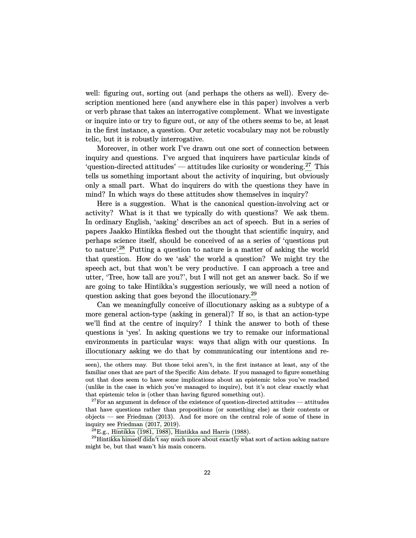<span id="page-21-3"></span>well: figuring out, sorting out (and perhaps the others as well). Every description mentioned here (and anywhere else in this paper) involves a verb or verb phrase that takes an interrogative complement. What we investigate or inquire into or try to figure out, or any of the others seems to be, at least in the first instance, a question. Our zetetic vocabulary may not be robustly telic, but it is robustly interrogative.

Moreover, in other work I've drawn out one sort of connection between inquiry and questions. I've argued that inquirers have particular kinds of 'question-directed attitudes' — attitudes like curiosity or wondering.<sup>[27](#page-21-0)</sup> This tells us something important about the activity of inquiring, but obviously only a small part. What do inquirers do with the questions they have in mind? In which ways do these attitudes show themselves in inquiry?

Here is a suggestion. What is the canonical question-involving act or activity? What is it that we typically do with questions? We ask them. In ordinary English, 'asking' describes an act of speech. But in a series of papers Jaakko Hintikka fleshed out the thought that scientific inquiry, and perhaps science itself, should be conceived of as a series of 'questions put to nature<sup>'.[28](#page-21-1)</sup> Putting a question to nature is a matter of asking the world that question. How do we 'ask' the world a question? We might try the speech act, but that won't be very productive. I can approach a tree and utter, 'Tree, how tall are you?', but I will not get an answer back. So if we are going to take Hintikka's suggestion seriously, we will need a notion of question asking that goes beyond the illocutionary.<sup>[29](#page-21-2)</sup>

Can we meaningfully conceive of illocutionary asking as a subtype of a more general action-type (asking in general)? If so, is that an action-type we'll find at the centre of inquiry? I think the answer to both of these questions is 'yes'. In asking questions we try to remake our informational environments in particular ways: ways that align with our questions. In illocutionary asking we do that by communicating our intentions and re-

seen), the others may. But those teloi aren't, in the first instance at least, any of the familiar ones that are part of the Specific Aim debate. If you managed to figure something out that does seem to have some implications about an epistemic telos you've reached (unlike in the case in which you've managed to inquire), but it's not clear exactly what that epistemic telos is (other than having figured something out).

<span id="page-21-0"></span><sup>&</sup>lt;sup>27</sup>For an argument in defence of the existence of question-directed attitudes — attitudes that have questions rather than propositions (or something else) as their contents or objects — see [Friedman](#page-23-11) [\(2013](#page-23-11)). And for more on the central role of some of these in inquiry see [Friedman](#page-23-12) [\(2017,](#page-23-12) [2019\)](#page-23-13).

<span id="page-21-2"></span><span id="page-21-1"></span> $^{28}$ E.g., [Hintikka](#page-24-12) [\(1981,](#page-24-12) [1988\)](#page-24-13), [Hintikka and Harris](#page-24-14) [\(1988\)](#page-24-14).

 $^{29}$ Hintikka himself didn't say much more about exactly what sort of action asking nature might be, but that wasn't his main concern.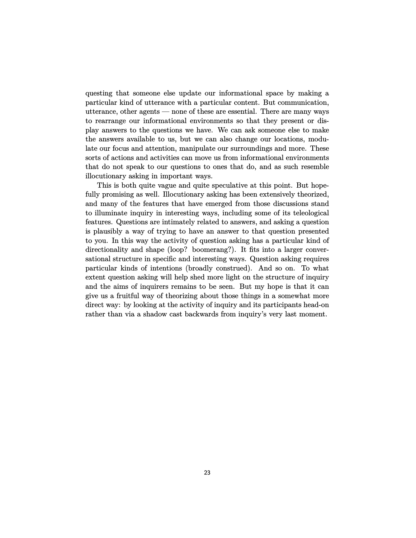questing that someone else update our informational space by making a particular kind of utterance with a particular content. But communication, utterance, other agents — none of these are essential. There are many ways to rearrange our informational environments so that they present or display answers to the questions we have. We can ask someone else to make the answers available to us, but we can also change our locations, modulate our focus and attention, manipulate our surroundings and more. These sorts of actions and activities can move us from informational environments that do not speak to our questions to ones that do, and as such resemble illocutionary asking in important ways.

This is both quite vague and quite speculative at this point. But hopefully promising as well. Illocutionary asking has been extensively theorized, and many of the features that have emerged from those discussions stand to illuminate inquiry in interesting ways, including some of its teleological features. Questions are intimately related to answers, and asking a question is plausibly a way of trying to have an answer to that question presented to you. In this way the activity of question asking has a particular kind of directionality and shape (loop? boomerang?). It fits into a larger conversational structure in specific and interesting ways. Question asking requires particular kinds of intentions (broadly construed). And so on. To what extent question asking will help shed more light on the structure of inquiry and the aims of inquirers remains to be seen. But my hope is that it can give us a fruitful way of theorizing about those things in a somewhat more direct way: by looking at the activity of inquiry and its participants head-on rather than via a shadow cast backwards from inquiry's very last moment.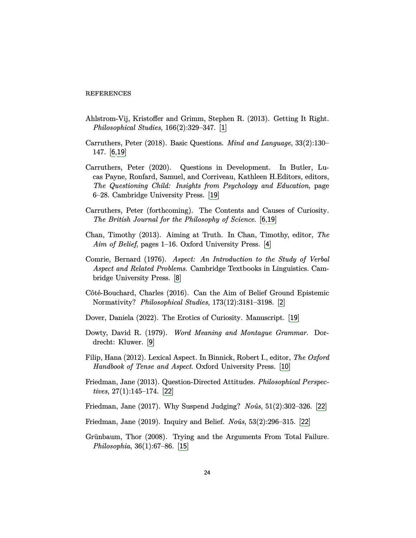#### **REFERENCES**

- <span id="page-23-0"></span>Ahlstrom-Vij, Kristoffer and Grimm, Stephen R. (2013). Getting It Right. *Philosophical Studies*, 166(2):329–347. [[1](#page-0-1)]
- <span id="page-23-3"></span>Carruthers, Peter (2018). Basic Questions. *Mind and Language*, 33(2):130– 147. [[6,](#page-5-1)[19](#page-18-2)]
- <span id="page-23-10"></span>Carruthers, Peter (2020). Questions in Development. In Butler, Lucas Payne, Ronfard, Samuel, and Corriveau, Kathleen H.Editors, editors, *The Questioning Child: Insights from Psychology and Education*, page 6–28. Cambridge University Press. [[19](#page-18-2)]
- <span id="page-23-4"></span>Carruthers, Peter (forthcoming). The Contents and Causes of Curiosity. *The British Journal for the Philosophy of Science*. [[6](#page-5-1)[,19](#page-18-2)]
- <span id="page-23-2"></span>Chan, Timothy (2013). Aiming at Truth. In Chan, Timothy, editor, *The Aim of Belief*, pages 1–16. Oxford University Press. [[4](#page-3-2)]
- <span id="page-23-5"></span>Comrie, Bernard (1976). *Aspect: An Introduction to the Study of Verbal Aspect and Related Problems*. Cambridge Textbooks in Linguistics. Cambridge University Press. [[8](#page-7-1)]
- <span id="page-23-1"></span>Côté-Bouchard, Charles (2016). Can the Aim of Belief Ground Epistemic Normativity? *Philosophical Studies*, 173(12):3181–3198. [[2](#page-1-1)]
- <span id="page-23-9"></span>Dover, Daniela (2022). The Erotics of Curiosity. Manuscript. [[19](#page-18-2)]
- <span id="page-23-6"></span>Dowty, David R. (1979). *Word Meaning and Montague Grammar*. Dordrecht: Kluwer. [[9](#page-8-1)]
- <span id="page-23-7"></span>Filip, Hana (2012). Lexical Aspect. In Binnick, Robert I., editor, *The Oxford Handbook of Tense and Aspect*. Oxford University Press. [[10](#page-9-2)]
- <span id="page-23-11"></span>Friedman, Jane (2013). Question-Directed Attitudes. *Philosophical Perspectives*, 27(1):145–174. [[22](#page-21-3)]
- <span id="page-23-12"></span>Friedman, Jane (2017). Why Suspend Judging? *Noˆus*, 51(2):302–326. [[22](#page-21-3)]
- <span id="page-23-13"></span>Friedman, Jane (2019). Inquiry and Belief. *Noûs*, 53(2):296–315. [[22](#page-21-3)]
- <span id="page-23-8"></span>Grünbaum, Thor (2008). Trying and the Arguments From Total Failure. *Philosophia*, 36(1):67–86. [[15](#page-14-3)]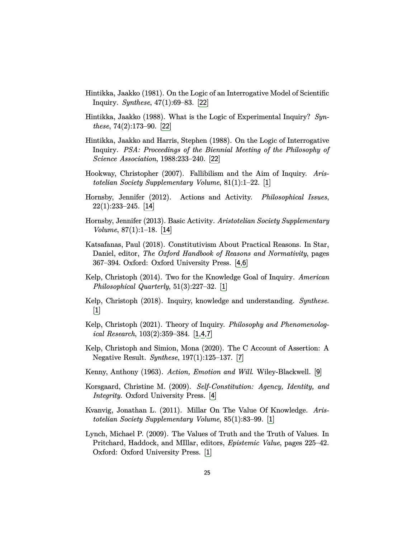- <span id="page-24-12"></span>Hintikka, Jaakko (1981). On the Logic of an Interrogative Model of Scientific Inquiry. *Synthese*, 47(1):69–83. [[22](#page-21-3)]
- <span id="page-24-13"></span>Hintikka, Jaakko (1988). What is the Logic of Experimental Inquiry? *Synthese*, 74(2):173–90. [[22](#page-21-3)]
- <span id="page-24-14"></span>Hintikka, Jaakko and Harris, Stephen (1988). On the Logic of Interrogative Inquiry. *PSA: Proceedings of the Biennial Meeting of the Philosophy of Science Association*, 1988:233–240. [[22](#page-21-3)]
- <span id="page-24-3"></span>Hookway, Christopher (2007). Fallibilism and the Aim of Inquiry. *Aristotelian Society Supplementary Volume*, 81(1):1–22. [[1](#page-0-1)]
- <span id="page-24-10"></span>Hornsby, Jennifer (2012). Actions and Activity. *Philosophical Issues*,  $22(1):233-245.$  [[14](#page-13-3)]
- <span id="page-24-11"></span>Hornsby, Jennifer (2013). Basic Activity. *Aristotelian Society Supplementary Volume*, 87(1):1–18. [[14](#page-13-3)]
- <span id="page-24-7"></span>Katsafanas, Paul (2018). Constitutivism About Practical Reasons. In Star, Daniel, editor, *The Oxford Handbook of Reasons and Normativity*, pages 367–394. Oxford: Oxford University Press. [[4,](#page-3-2)[6](#page-5-1)]
- <span id="page-24-0"></span>Kelp, Christoph (2014). Two for the Knowledge Goal of Inquiry. *American Philosophical Quarterly*, 51(3):227–32. [[1](#page-0-1)]
- <span id="page-24-1"></span>Kelp, Christoph (2018). Inquiry, knowledge and understanding. *Synthese*. [[1](#page-0-1)]
- <span id="page-24-2"></span>Kelp, Christoph (2021). Theory of Inquiry. *Philosophy and Phenomenological Research*, 103(2):359–384. [[1,](#page-0-1)[4,](#page-3-2)[7](#page-6-2)]
- <span id="page-24-8"></span>Kelp, Christoph and Simion, Mona (2020). The C Account of Assertion: A Negative Result. *Synthese*, 197(1):125–137. [[7](#page-6-2)]
- <span id="page-24-9"></span>Kenny, Anthony (1963). *Action, Emotion and Will*. Wiley-Blackwell. [[9](#page-8-1)]
- <span id="page-24-6"></span>Korsgaard, Christine M. (2009). *Self-Constitution: Agency, Identity, and Integrity*. Oxford University Press. [[4](#page-3-2)]
- <span id="page-24-5"></span>Kvanvig, Jonathan L. (2011). Millar On The Value Of Knowledge. *Aristotelian Society Supplementary Volume*, 85(1):83–99. [[1](#page-0-1)]
- <span id="page-24-4"></span>Lynch, Michael P. (2009). The Values of Truth and the Truth of Values. In Pritchard, Haddock, and MIllar, editors, *Epistemic Value*, pages 225–42. Oxford: Oxford University Press. [[1](#page-0-1)]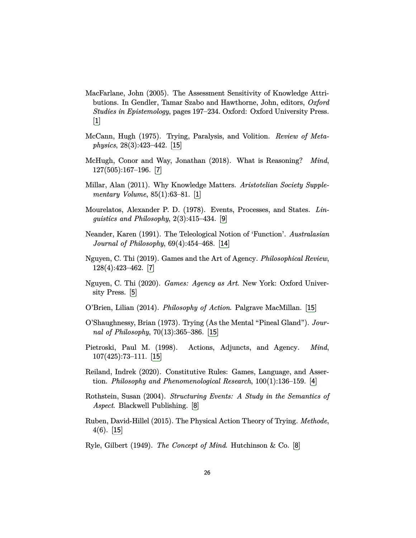- <span id="page-25-0"></span>MacFarlane, John (2005). The Assessment Sensitivity of Knowledge Attributions. In Gendler, Tamar Szabo and Hawthorne, John, editors, *Oxford Studies in Epistemology*, pages 197–234. Oxford: Oxford University Press. [[1](#page-0-1)]
- <span id="page-25-12"></span>McCann, Hugh (1975). Trying, Paralysis, and Volition. *Review of Metaphysics*, 28(3):423–442. [[15](#page-14-3)]
- <span id="page-25-4"></span>McHugh, Conor and Way, Jonathan (2018). What is Reasoning? *Mind*, 127(505):167–196. [[7](#page-6-2)]
- <span id="page-25-1"></span>Millar, Alan (2011). Why Knowledge Matters. *Aristotelian Society Supplementary Volume*, 85(1):63–81. [[1](#page-0-1)]
- <span id="page-25-8"></span>Mourelatos, Alexander P. D. (1978). Events, Processes, and States. *Linguistics and Philosophy*, 2(3):415–434. [[9](#page-8-1)]
- <span id="page-25-9"></span>Neander, Karen (1991). The Teleological Notion of 'Function'. *Australasian Journal of Philosophy*, 69(4):454–468. [[14](#page-13-3)]
- <span id="page-25-5"></span>Nguyen, C. Thi (2019). Games and the Art of Agency. *Philosophical Review*, 128(4):423–462. [[7](#page-6-2)]
- <span id="page-25-3"></span>Nguyen, C. Thi (2020). *Games: Agency as Art*. New York: Oxford University Press. [[5](#page-4-2)]
- <span id="page-25-10"></span>O'Brien, Lilian (2014). *Philosophy of Action*. Palgrave MacMillan. [[15](#page-14-3)]
- <span id="page-25-11"></span>O'Shaughnessy, Brian (1973). Trying (As the Mental "Pineal Gland"). *Journal of Philosophy*, 70(13):365–386. [[15](#page-14-3)]
- <span id="page-25-13"></span>Pietroski, Paul M. (1998). Actions, Adjuncts, and Agency. *Mind*, 107(425):73–111. [[15](#page-14-3)]
- <span id="page-25-2"></span>Reiland, Indrek (2020). Constitutive Rules: Games, Language, and Assertion. *Philosophy and Phenomenological Research*, 100(1):136–159. [[4](#page-3-2)]
- <span id="page-25-6"></span>Rothstein, Susan (2004). *Structuring Events: A Study in the Semantics of Aspect*. Blackwell Publishing. [[8](#page-7-1)]
- <span id="page-25-14"></span>Ruben, David-Hillel (2015). The Physical Action Theory of Trying. *Methode*, 4(6). [[15](#page-14-3)]

<span id="page-25-7"></span>Ryle, Gilbert (1949). *The Concept of Mind*. Hutchinson & Co. [[8](#page-7-1)]